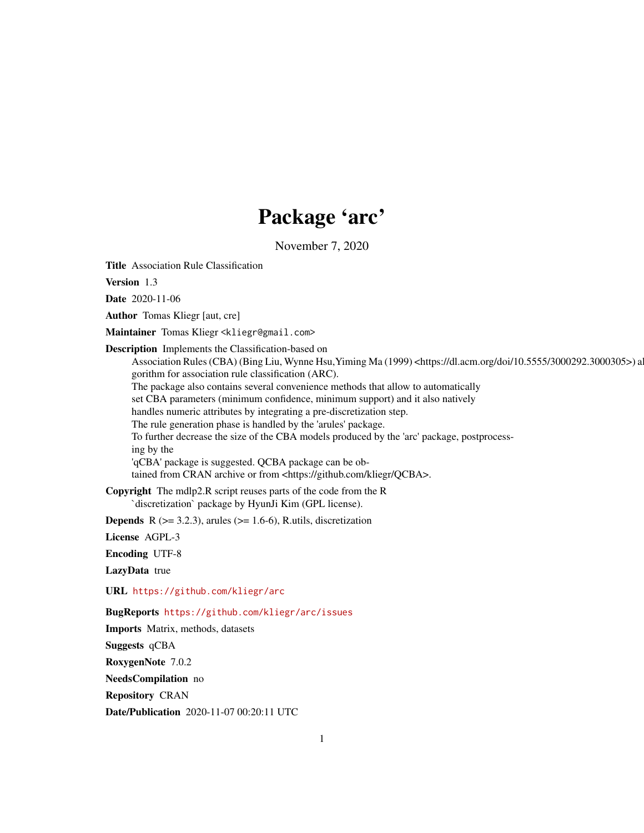# Package 'arc'

November 7, 2020

<span id="page-0-0"></span>Title Association Rule Classification

Version 1.3

Date 2020-11-06

Author Tomas Kliegr [aut, cre]

Maintainer Tomas Kliegr <kliegr@gmail.com>

Description Implements the Classification-based on

Association Rules (CBA) (Bing Liu, Wynne Hsu, Yiming Ma (1999) <https://dl.acm.org/doi/10.5555/3000292.3000305>) a gorithm for association rule classification (ARC).

The package also contains several convenience methods that allow to automatically

set CBA parameters (minimum confidence, minimum support) and it also natively

handles numeric attributes by integrating a pre-discretization step.

The rule generation phase is handled by the 'arules' package.

To further decrease the size of the CBA models produced by the 'arc' package, postprocessing by the

'qCBA' package is suggested. QCBA package can be ob-

tained from CRAN archive or from <https://github.com/kliegr/QCBA>.

Copyright The mdlp2.R script reuses parts of the code from the R `discretization` package by HyunJi Kim (GPL license).

**Depends** R  $(>= 3.2.3)$ , arules  $(>= 1.6-6)$ , R.utils, discretization

License AGPL-3

Encoding UTF-8

LazyData true

URL <https://github.com/kliegr/arc>

BugReports <https://github.com/kliegr/arc/issues>

Imports Matrix, methods, datasets

Suggests qCBA

RoxygenNote 7.0.2

NeedsCompilation no

Repository CRAN

Date/Publication 2020-11-07 00:20:11 UTC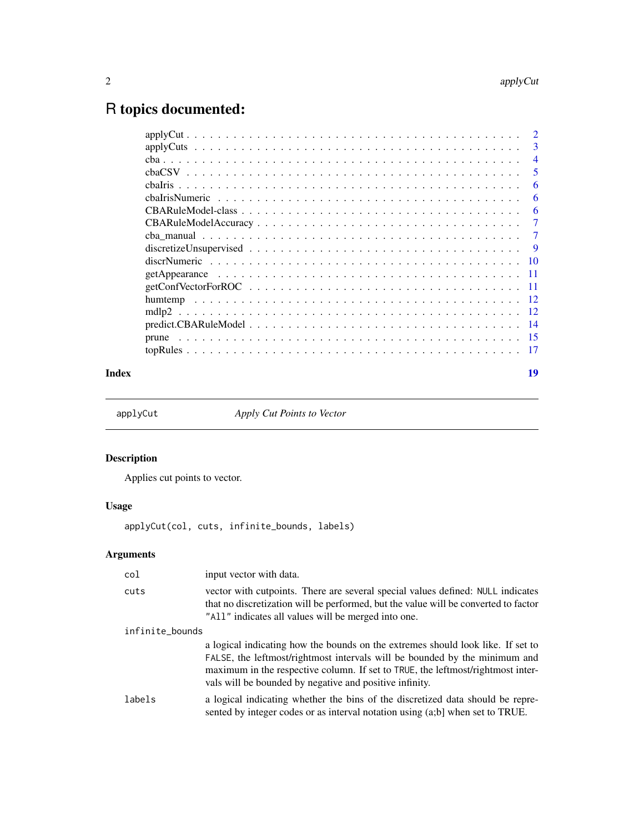# <span id="page-1-0"></span>R topics documented:

|                                                                                                            | 3     |
|------------------------------------------------------------------------------------------------------------|-------|
|                                                                                                            | 4     |
|                                                                                                            | 5     |
|                                                                                                            | 6     |
|                                                                                                            | 6     |
|                                                                                                            | 6     |
|                                                                                                            | 7     |
|                                                                                                            | 7     |
|                                                                                                            | -9    |
|                                                                                                            | -10   |
|                                                                                                            | -11   |
|                                                                                                            | - 11  |
|                                                                                                            |       |
|                                                                                                            | $-12$ |
| $predict.CBARuleModel \dots \dots \dots \dots \dots \dots \dots \dots \dots \dots \dots \dots \dots \dots$ | -14   |
|                                                                                                            | -15   |
|                                                                                                            | -17   |
|                                                                                                            |       |

#### **Index** 2008 **Index** 2008 **Index**

<span id="page-1-1"></span>applyCut *Apply Cut Points to Vector*

# Description

Applies cut points to vector.

# Usage

applyCut(col, cuts, infinite\_bounds, labels)

| col             | input vector with data.                                                                                                                                                                                                                                                                                     |  |
|-----------------|-------------------------------------------------------------------------------------------------------------------------------------------------------------------------------------------------------------------------------------------------------------------------------------------------------------|--|
| cuts            | vector with cutpoints. There are several special values defined: NULL indicates<br>that no discretization will be performed, but the value will be converted to factor<br>"All" indicates all values will be merged into one.                                                                               |  |
| infinite_bounds |                                                                                                                                                                                                                                                                                                             |  |
|                 | a logical indicating how the bounds on the extremes should look like. If set to<br>FALSE, the leftmost/rightmost intervals will be bounded by the minimum and<br>maximum in the respective column. If set to TRUE, the leftmost/rightmost inter-<br>vals will be bounded by negative and positive infinity. |  |
| labels          | a logical indicating whether the bins of the discretized data should be repre-<br>sented by integer codes or as interval notation using (a;b] when set to TRUE.                                                                                                                                             |  |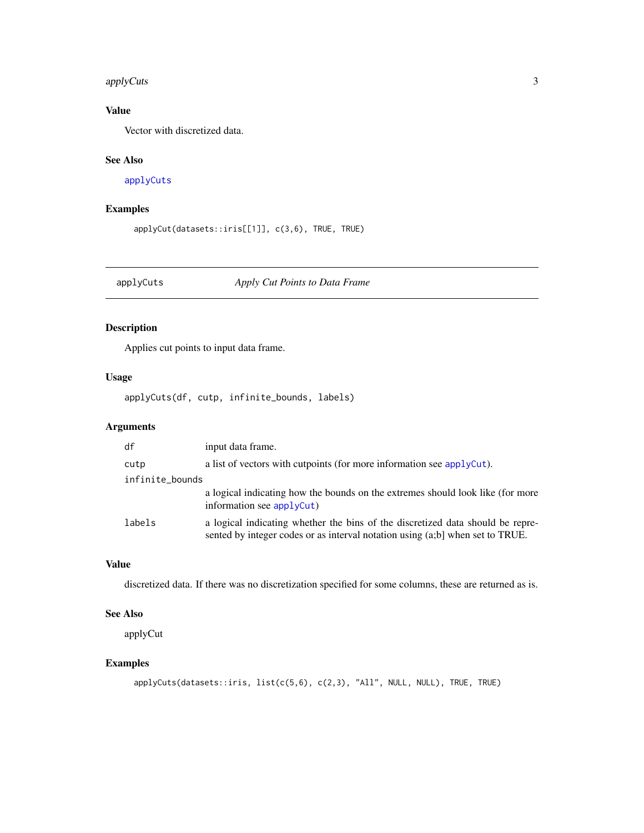#### <span id="page-2-0"></span>applyCuts 3

# Value

Vector with discretized data.

#### See Also

[applyCuts](#page-2-1)

# Examples

```
applyCut(datasets::iris[[1]], c(3,6), TRUE, TRUE)
```
<span id="page-2-1"></span>applyCuts *Apply Cut Points to Data Frame*

# Description

Applies cut points to input data frame.

# Usage

applyCuts(df, cutp, infinite\_bounds, labels)

# Arguments

| df              | input data frame.                                                                                                                                               |  |
|-----------------|-----------------------------------------------------------------------------------------------------------------------------------------------------------------|--|
| cutp            | a list of vectors with cutpoints (for more information see applyCut).                                                                                           |  |
| infinite_bounds |                                                                                                                                                                 |  |
|                 | a logical indicating how the bounds on the extremes should look like (for more<br>information see $applyCut$ )                                                  |  |
| labels          | a logical indicating whether the bins of the discretized data should be repre-<br>sented by integer codes or as interval notation using (a;b] when set to TRUE. |  |

#### Value

discretized data. If there was no discretization specified for some columns, these are returned as is.

#### See Also

applyCut

```
applyCuts(datasets::iris, list(c(5,6), c(2,3), "All", NULL, NULL), TRUE, TRUE)
```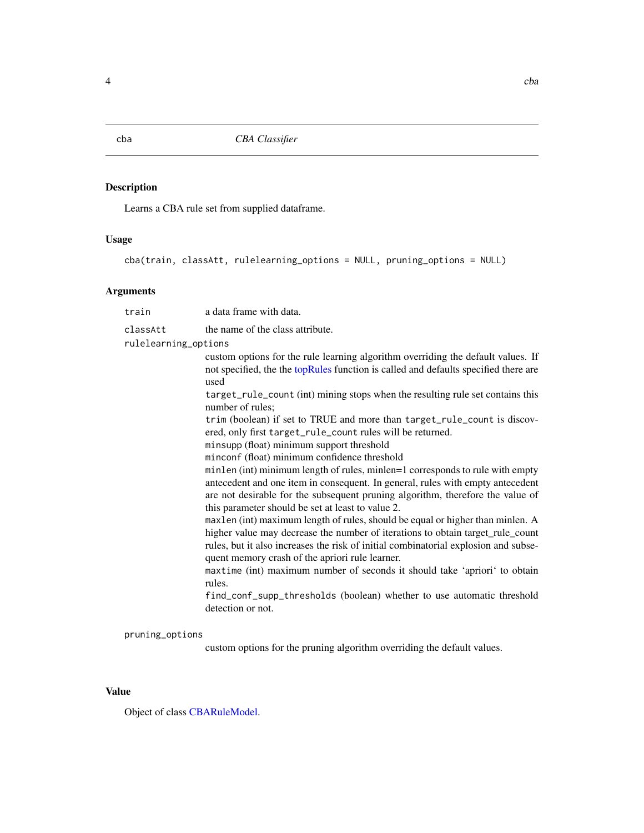Learns a CBA rule set from supplied dataframe.

#### Usage

```
cba(train, classAtt, rulelearning_options = NULL, pruning_options = NULL)
```
#### Arguments

train a data frame with data. classAtt the name of the class attribute. rulelearning\_options custom options for the rule learning algorithm overriding the default values. If not specified, the the [topRules](#page-16-1) function is called and defaults specified there are used target\_rule\_count (int) mining stops when the resulting rule set contains this number of rules; trim (boolean) if set to TRUE and more than target\_rule\_count is discovered, only first target\_rule\_count rules will be returned. minsupp (float) minimum support threshold minconf (float) minimum confidence threshold minlen (int) minimum length of rules, minlen=1 corresponds to rule with empty antecedent and one item in consequent. In general, rules with empty antecedent are not desirable for the subsequent pruning algorithm, therefore the value of this parameter should be set at least to value 2. maxlen (int) maximum length of rules, should be equal or higher than minlen. A higher value may decrease the number of iterations to obtain target\_rule\_count rules, but it also increases the risk of initial combinatorial explosion and subsequent memory crash of the apriori rule learner. maxtime (int) maximum number of seconds it should take 'apriori' to obtain rules. find\_conf\_supp\_thresholds (boolean) whether to use automatic threshold detection or not. pruning\_options

custom options for the pruning algorithm overriding the default values.

#### Value

Object of class [CBARuleModel.](#page-5-1)

<span id="page-3-0"></span>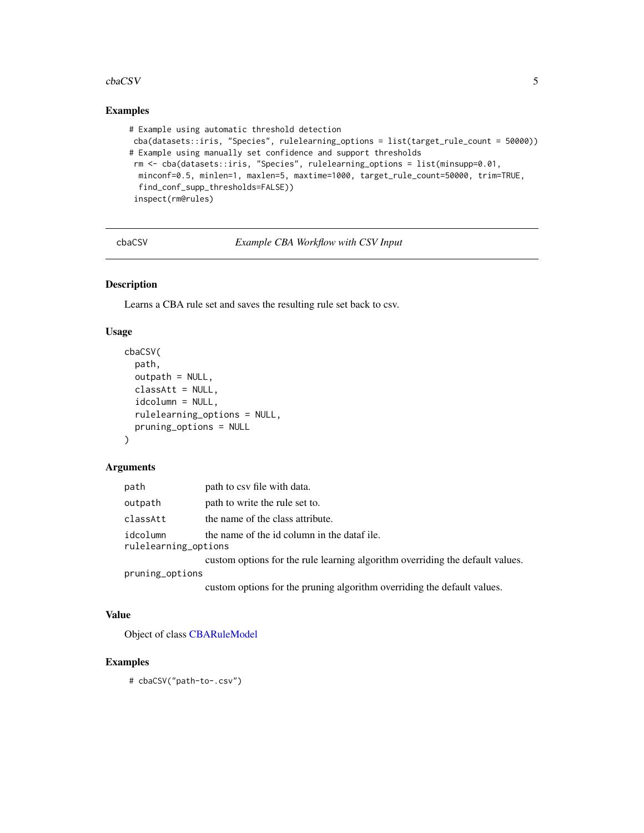#### <span id="page-4-0"></span>cbaCSV 5

# Examples

```
# Example using automatic threshold detection
cba(datasets::iris, "Species", rulelearning_options = list(target_rule_count = 50000))
# Example using manually set confidence and support thresholds
 rm <- cba(datasets::iris, "Species", rulelearning_options = list(minsupp=0.01,
 minconf=0.5, minlen=1, maxlen=5, maxtime=1000, target_rule_count=50000, trim=TRUE,
 find_conf_supp_thresholds=FALSE))
 inspect(rm@rules)
```
cbaCSV *Example CBA Workflow with CSV Input*

# Description

Learns a CBA rule set and saves the resulting rule set back to csv.

#### Usage

```
cbaCSV(
 path,
  outpath = NULL,
  classAtt = NULL,
  idcolumn = NULL,
  rulelearning_options = NULL,
  pruning_options = NULL
)
```
#### Arguments

| path            | path to csv file with data.                                                   |  |
|-----------------|-------------------------------------------------------------------------------|--|
| outpath         | path to write the rule set to.                                                |  |
| classAtt        | the name of the class attribute.                                              |  |
| idcolumn        | the name of the id column in the dataf ile.<br>rulelearning_options           |  |
|                 | custom options for the rule learning algorithm overriding the default values. |  |
| pruning_options |                                                                               |  |
|                 |                                                                               |  |

custom options for the pruning algorithm overriding the default values.

# Value

Object of class [CBARuleModel](#page-5-1)

```
# cbaCSV("path-to-.csv")
```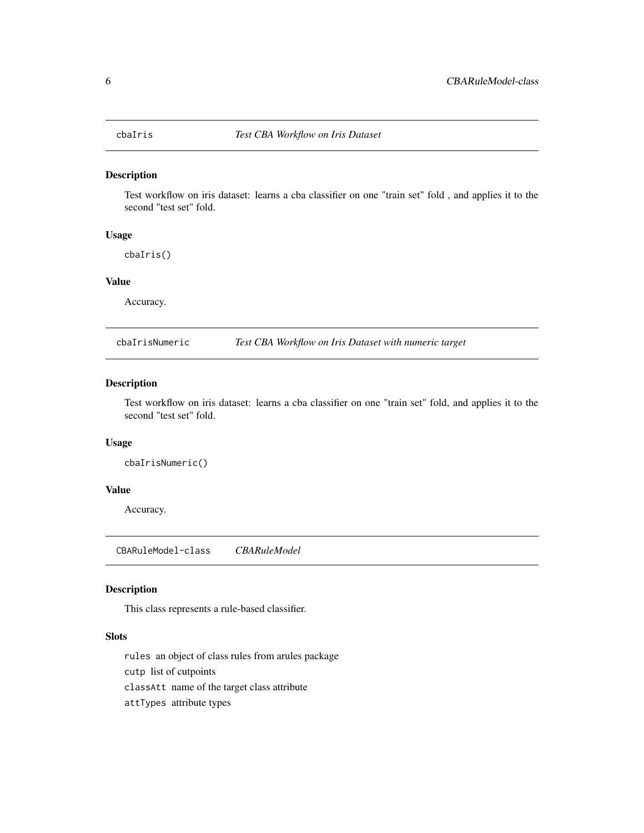<span id="page-5-2"></span><span id="page-5-0"></span>

Test workflow on iris dataset: learns a cba classifier on one "train set" fold , and applies it to the second "test set" fold.

#### Usage

cbaIris()

#### Value

Accuracy.

cbaIrisNumeric *Test CBA Workflow on Iris Dataset with numeric target*

#### Description

Test workflow on iris dataset: learns a cba classifier on one "train set" fold, and applies it to the second "test set" fold.

# Usage

cbaIrisNumeric()

#### Value

Accuracy.

CBARuleModel-class *CBARuleModel*

# <span id="page-5-1"></span>Description

This class represents a rule-based classifier.

#### Slots

rules an object of class rules from arules package

cutp list of cutpoints

classAtt name of the target class attribute

attTypes attribute types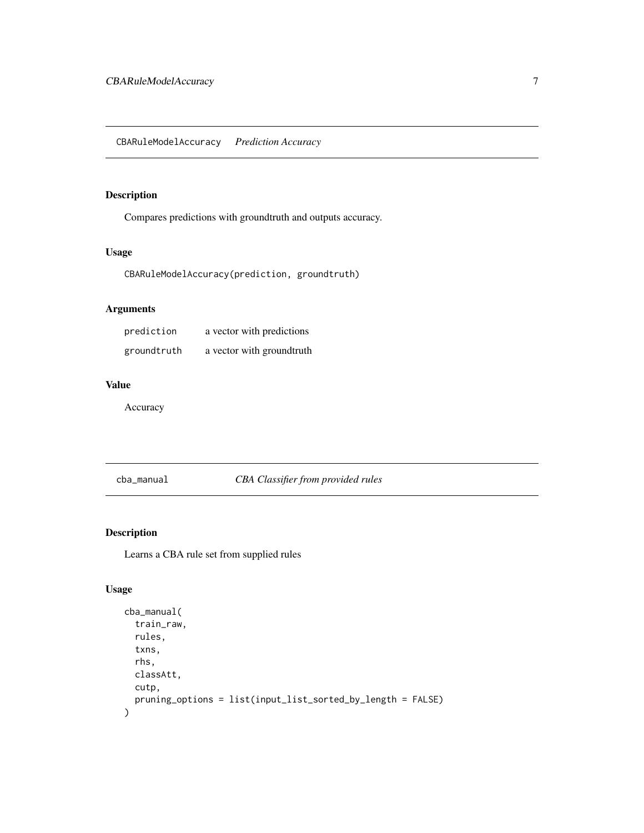<span id="page-6-0"></span>Compares predictions with groundtruth and outputs accuracy.

#### Usage

CBARuleModelAccuracy(prediction, groundtruth)

# Arguments

| prediction  | a vector with predictions |
|-------------|---------------------------|
| groundtruth | a vector with groundtruth |

# Value

Accuracy

cba\_manual *CBA Classifier from provided rules*

# Description

Learns a CBA rule set from supplied rules

# Usage

```
cba_manual(
  train_raw,
  rules,
  txns,
  rhs,
  classAtt,
  cutp,
  pruning_options = list(input_list_sorted_by_length = FALSE)
\mathcal{E}
```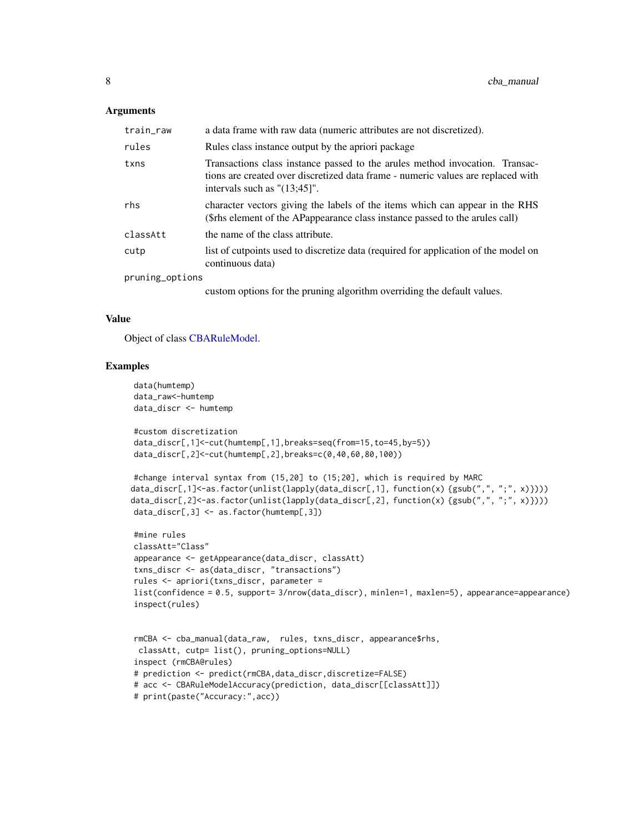#### <span id="page-7-0"></span>**Arguments**

| train_raw       | a data frame with raw data (numeric attributes are not discretized).                                                                                                                                  |
|-----------------|-------------------------------------------------------------------------------------------------------------------------------------------------------------------------------------------------------|
| rules           | Rules class instance output by the apriori package                                                                                                                                                    |
| txns            | Transactions class instance passed to the arules method invocation. Transac-<br>tions are created over discretized data frame - numeric values are replaced with<br>intervals such as $"({13;45}]"$ . |
| rhs             | character vectors giving the labels of the items which can appear in the RHS<br>(\$rhs element of the APappearance class instance passed to the arules call)                                          |
| classAtt        | the name of the class attribute.                                                                                                                                                                      |
| cutp            | list of cutpoints used to discretize data (required for application of the model on<br>continuous data)                                                                                               |
| pruning_options |                                                                                                                                                                                                       |
|                 | custom options for the pruning algorithm overriding the default values.                                                                                                                               |

#### Value

Object of class [CBARuleModel.](#page-5-1)

```
data(humtemp)
data_raw<-humtemp
data_discr <- humtemp
#custom discretization
data_discr[,1]<-cut(humtemp[,1],breaks=seq(from=15,to=45,by=5))
data_discr[,2]<-cut(humtemp[,2],breaks=c(0,40,60,80,100))
#change interval syntax from (15,20] to (15;20], which is required by MARC
data_discr[,1]<-as.factor(unlist(lapply(data_discr[,1], function(x) {gsub(",", ";", x)})))
data_discr[,2]<-as.factor(unlist(lapply(data_discr[,2], function(x) {gsub(",", ";", x)})))
data_discr[,3] <- as.factor(humtemp[,3])
#mine rules
classAtt="Class"
appearance <- getAppearance(data_discr, classAtt)
txns_discr <- as(data_discr, "transactions")
rules <- apriori(txns_discr, parameter =
list(confidence = 0.5, support= 3/nrow(data_discr), minlen=1, maxlen=5), appearance=appearance)
inspect(rules)
```

```
rmCBA <- cba_manual(data_raw, rules, txns_discr, appearance$rhs,
classAtt, cutp= list(), pruning_options=NULL)
inspect (rmCBA@rules)
# prediction <- predict(rmCBA,data_discr,discretize=FALSE)
# acc <- CBARuleModelAccuracy(prediction, data_discr[[classAtt]])
# print(paste("Accuracy:",acc))
```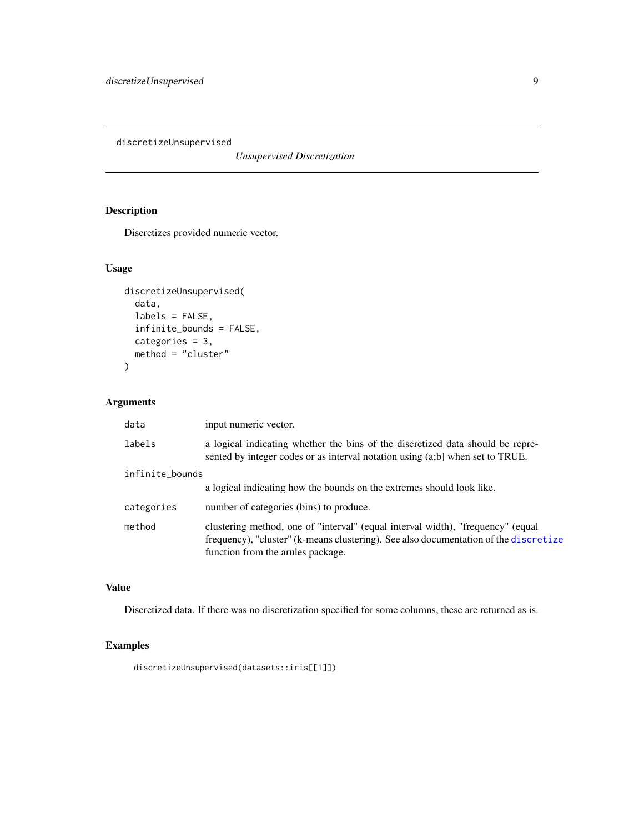<span id="page-8-0"></span>discretizeUnsupervised

*Unsupervised Discretization*

# Description

Discretizes provided numeric vector.

#### Usage

```
discretizeUnsupervised(
  data,
 labels = FALSE,
  infinite_bounds = FALSE,
 categories = 3,
 method = "cluster"
\mathcal{L}
```
# Arguments

| data            | input numeric vector.                                                                                                                                                                                        |
|-----------------|--------------------------------------------------------------------------------------------------------------------------------------------------------------------------------------------------------------|
| labels          | a logical indicating whether the bins of the discretized data should be repre-<br>sented by integer codes or as interval notation using (a;b) when set to TRUE.                                              |
| infinite_bounds |                                                                                                                                                                                                              |
|                 | a logical indicating how the bounds on the extremes should look like.                                                                                                                                        |
| categories      | number of categories (bins) to produce.                                                                                                                                                                      |
| method          | clustering method, one of "interval" (equal interval width), "frequency" (equal<br>frequency), "cluster" (k-means clustering). See also documentation of the discretize<br>function from the arules package. |

# Value

Discretized data. If there was no discretization specified for some columns, these are returned as is.

# Examples

discretizeUnsupervised(datasets::iris[[1]])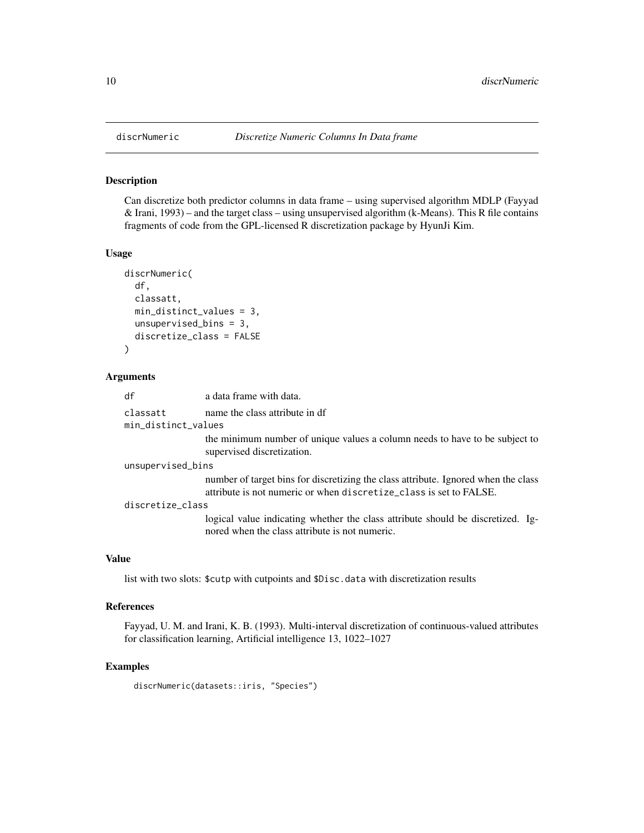Can discretize both predictor columns in data frame – using supervised algorithm MDLP (Fayyad & Irani, 1993) – and the target class – using unsupervised algorithm (k-Means). This R file contains fragments of code from the GPL-licensed R discretization package by HyunJi Kim.

#### Usage

```
discrNumeric(
  df,
  classatt,
  min_distinct_values = 3,
  unsupervised_bins = 3,
  discretize_class = FALSE
\mathcal{L}
```
#### Arguments

| df                  | a data frame with data.                                                                                                                                  |
|---------------------|----------------------------------------------------------------------------------------------------------------------------------------------------------|
| classatt            | name the class attribute in df                                                                                                                           |
| min_distinct_values |                                                                                                                                                          |
|                     | the minimum number of unique values a column needs to have to be subject to<br>supervised discretization.                                                |
| unsupervised_bins   |                                                                                                                                                          |
|                     | number of target bins for discretizing the class attribute. Ignored when the class<br>attribute is not numeric or when discretize_class is set to FALSE. |
| discretize_class    |                                                                                                                                                          |
|                     | logical value indicating whether the class attribute should be discretized. Ig-<br>nored when the class attribute is not numeric.                        |

# Value

list with two slots: \$cutp with cutpoints and \$Disc.data with discretization results

#### References

Fayyad, U. M. and Irani, K. B. (1993). Multi-interval discretization of continuous-valued attributes for classification learning, Artificial intelligence 13, 1022–1027

## Examples

discrNumeric(datasets::iris, "Species")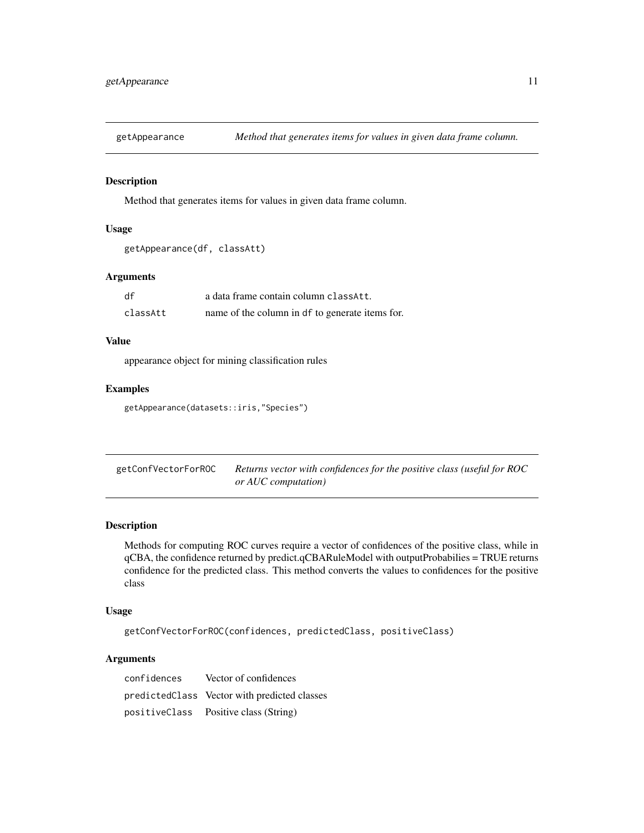<span id="page-10-0"></span>

Method that generates items for values in given data frame column.

#### Usage

```
getAppearance(df, classAtt)
```
## Arguments

| df       | a data frame contain column classAtt.           |
|----------|-------------------------------------------------|
| classAtt | name of the column in df to generate items for. |

## Value

appearance object for mining classification rules

# Examples

```
getAppearance(datasets::iris,"Species")
```

| getConfVectorForROC | Returns vector with confidences for the positive class (useful for ROC |
|---------------------|------------------------------------------------------------------------|
|                     | or AUC computation)                                                    |

# Description

Methods for computing ROC curves require a vector of confidences of the positive class, while in qCBA, the confidence returned by predict.qCBARuleModel with outputProbabilies = TRUE returns confidence for the predicted class. This method converts the values to confidences for the positive class

#### Usage

```
getConfVectorForROC(confidences, predictedClass, positiveClass)
```

| confidences | Vector of confidences                        |
|-------------|----------------------------------------------|
|             | predictedClass Vector with predicted classes |
|             | positiveClass Positive class (String)        |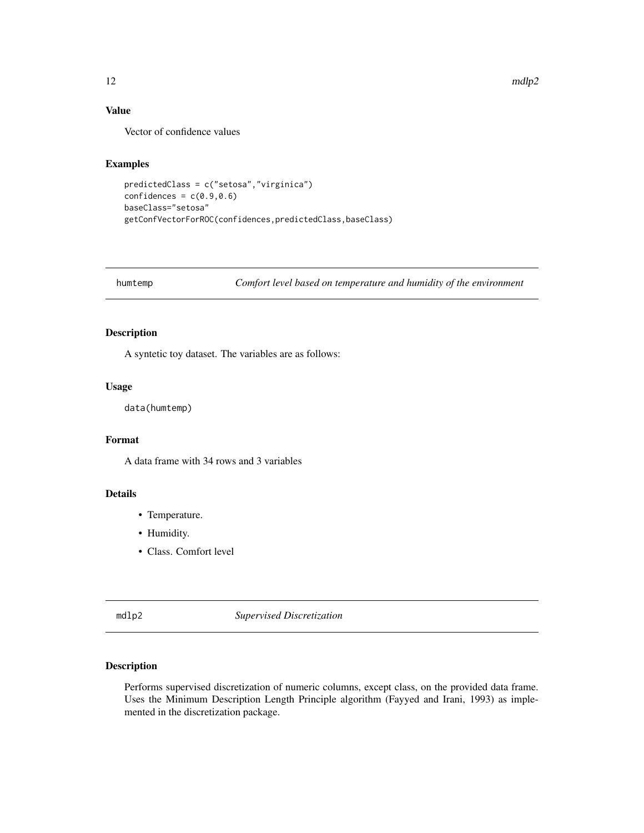$12$  mdlp2

# Value

Vector of confidence values

#### Examples

```
predictedClass = c("setosa","virginica")
confidences = c(0.9, 0.6)baseClass="setosa"
getConfVectorForROC(confidences,predictedClass,baseClass)
```
humtemp *Comfort level based on temperature and humidity of the environment*

#### Description

A syntetic toy dataset. The variables are as follows:

#### Usage

data(humtemp)

# Format

A data frame with 34 rows and 3 variables

# Details

- Temperature.
- Humidity.
- Class. Comfort level

mdlp2 *Supervised Discretization*

#### Description

Performs supervised discretization of numeric columns, except class, on the provided data frame. Uses the Minimum Description Length Principle algorithm (Fayyed and Irani, 1993) as implemented in the discretization package.

<span id="page-11-0"></span>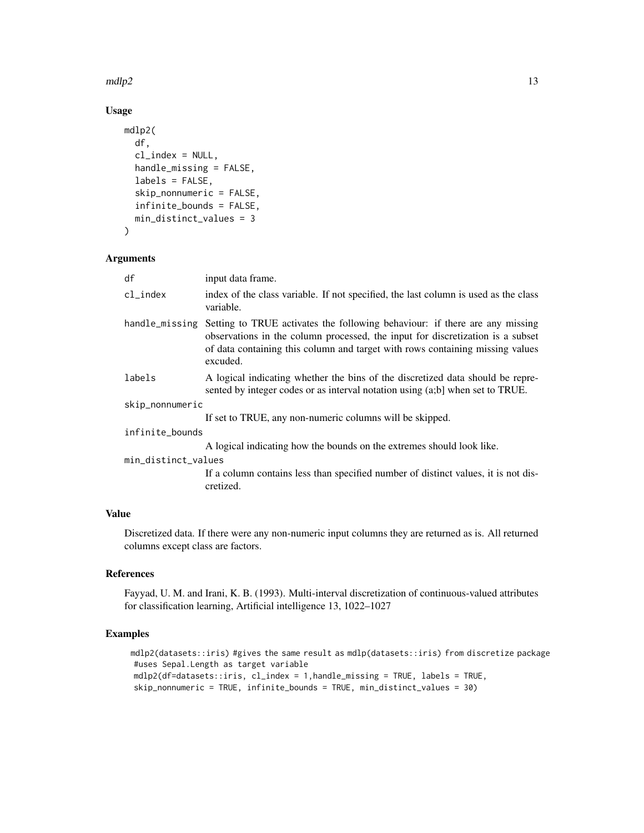$mdlp2$  13

# Usage

```
mdlp2(
  df,
  cl\_index = NULL,handle_missing = FALSE,
  labels = FALSE,skip_nonnumeric = FALSE,
  infinite_bounds = FALSE,
  min_distinct_values = 3
)
```
#### Arguments

| df                  | input data frame.                                                                                                                                                                                                                                          |
|---------------------|------------------------------------------------------------------------------------------------------------------------------------------------------------------------------------------------------------------------------------------------------------|
| cl_index            | index of the class variable. If not specified, the last column is used as the class<br>variable.                                                                                                                                                           |
| handle_missing      | Setting to TRUE activates the following behaviour: if there are any missing<br>observations in the column processed, the input for discretization is a subset<br>of data containing this column and target with rows containing missing values<br>excuded. |
| labels              | A logical indicating whether the bins of the discretized data should be repre-<br>sented by integer codes or as interval notation using (a;b) when set to TRUE.                                                                                            |
| skip_nonnumeric     |                                                                                                                                                                                                                                                            |
|                     | If set to TRUE, any non-numeric columns will be skipped.                                                                                                                                                                                                   |
| infinite_bounds     |                                                                                                                                                                                                                                                            |
|                     | A logical indicating how the bounds on the extremes should look like.                                                                                                                                                                                      |
| min_distinct_values |                                                                                                                                                                                                                                                            |
|                     | If a column contains less than specified number of distinct values, it is not dis-<br>cretized.                                                                                                                                                            |

# Value

Discretized data. If there were any non-numeric input columns they are returned as is. All returned columns except class are factors.

#### References

Fayyad, U. M. and Irani, K. B. (1993). Multi-interval discretization of continuous-valued attributes for classification learning, Artificial intelligence 13, 1022–1027

# Examples

mdlp2(datasets::iris) #gives the same result as mdlp(datasets::iris) from discretize package #uses Sepal.Length as target variable mdlp2(df=datasets::iris, cl\_index = 1,handle\_missing = TRUE, labels = TRUE, skip\_nonnumeric = TRUE, infinite\_bounds = TRUE, min\_distinct\_values = 30)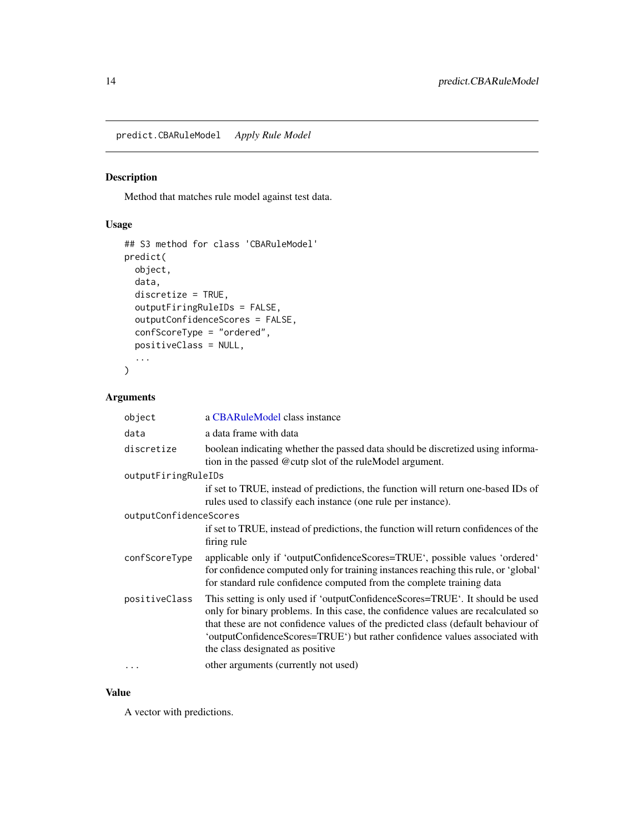<span id="page-13-0"></span>predict.CBARuleModel *Apply Rule Model*

#### Description

Method that matches rule model against test data.

# Usage

```
## S3 method for class 'CBARuleModel'
predict(
 object,
  data,
 discretize = TRUE,
 outputFiringRuleIDs = FALSE,
 outputConfidenceScores = FALSE,
 confScoreType = "ordered",
 positiveClass = NULL,
  ...
\mathcal{L}
```
# Arguments

| object                 | a CBARuleModel class instance                                                                                                                                                                                                                                                                                                                                              |
|------------------------|----------------------------------------------------------------------------------------------------------------------------------------------------------------------------------------------------------------------------------------------------------------------------------------------------------------------------------------------------------------------------|
| data                   | a data frame with data                                                                                                                                                                                                                                                                                                                                                     |
| discretize             | boolean indicating whether the passed data should be discretized using informa-<br>tion in the passed @cutp slot of the ruleModel argument.                                                                                                                                                                                                                                |
| outputFiringRuleIDs    |                                                                                                                                                                                                                                                                                                                                                                            |
|                        | if set to TRUE, instead of predictions, the function will return one-based IDs of<br>rules used to classify each instance (one rule per instance).                                                                                                                                                                                                                         |
| outputConfidenceScores |                                                                                                                                                                                                                                                                                                                                                                            |
|                        | if set to TRUE, instead of predictions, the function will return confidences of the<br>firing rule                                                                                                                                                                                                                                                                         |
| confScoreType          | applicable only if 'outputConfidenceScores=TRUE', possible values 'ordered'<br>for confidence computed only for training instances reaching this rule, or 'global'<br>for standard rule confidence computed from the complete training data                                                                                                                                |
| positiveClass          | This setting is only used if 'outputConfidenceScores=TRUE'. It should be used<br>only for binary problems. In this case, the confidence values are recalculated so<br>that these are not confidence values of the predicted class (default behaviour of<br>'outputConfidenceScores=TRUE') but rather confidence values associated with<br>the class designated as positive |
| $\cdots$               | other arguments (currently not used)                                                                                                                                                                                                                                                                                                                                       |

#### Value

A vector with predictions.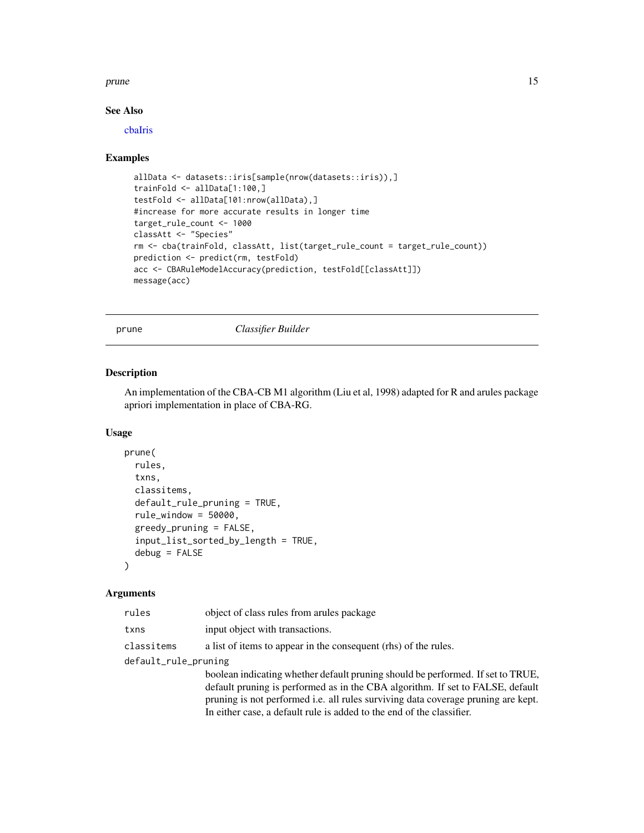#### <span id="page-14-0"></span>prune that the set of the set of the set of the set of the set of the set of the set of the set of the set of the set of the set of the set of the set of the set of the set of the set of the set of the set of the set of th

# See Also

[cbaIris](#page-5-2)

#### Examples

```
allData <- datasets::iris[sample(nrow(datasets::iris)),]
trainFold <- allData[1:100,]
testFold <- allData[101:nrow(allData),]
#increase for more accurate results in longer time
target_rule_count <- 1000
classAtt <- "Species"
rm <- cba(trainFold, classAtt, list(target_rule_count = target_rule_count))
prediction <- predict(rm, testFold)
acc <- CBARuleModelAccuracy(prediction, testFold[[classAtt]])
message(acc)
```
<span id="page-14-1"></span>prune *Classifier Builder*

#### Description

An implementation of the CBA-CB M1 algorithm (Liu et al, 1998) adapted for R and arules package apriori implementation in place of CBA-RG.

#### Usage

```
prune(
  rules,
  txns,
  classitems,
  default_rule_pruning = TRUE,
  rule_window = 50000,
  greedy_pruning = FALSE,
  input_list_sorted_by_length = TRUE,
  debug = FALSE)
```

| rules                | object of class rules from arules package                                         |  |
|----------------------|-----------------------------------------------------------------------------------|--|
| txns                 | input object with transactions.                                                   |  |
| classitems           | a list of items to appear in the consequent (rhs) of the rules.                   |  |
| default_rule_pruning |                                                                                   |  |
|                      | boolean indicating whether default pruning should be performed. If set to TRUE,   |  |
|                      | default pruning is performed as in the CBA algorithm. If set to FALSE, default    |  |
|                      | pruning is not performed i.e. all rules surviving data coverage pruning are kept. |  |
|                      | In either case, a default rule is added to the end of the classifier.             |  |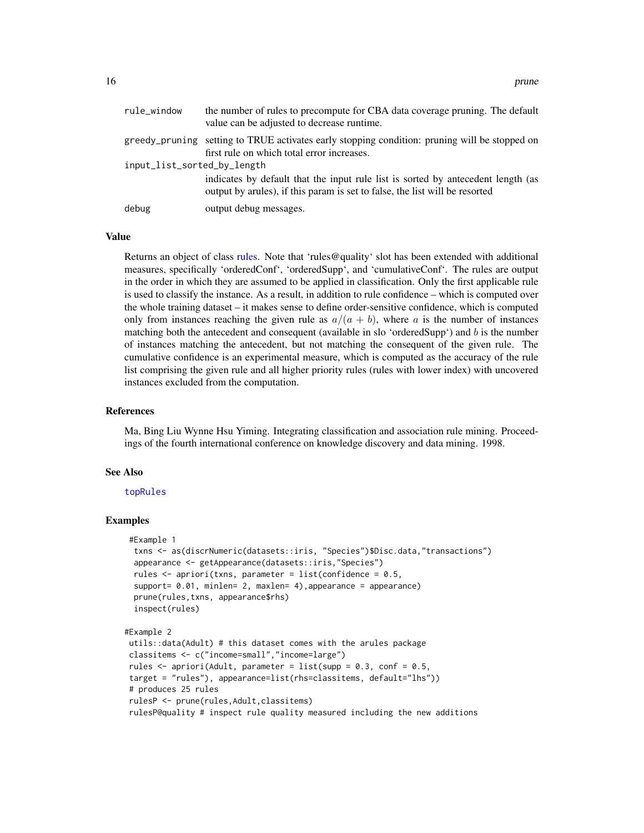<span id="page-15-0"></span>

| rule_window                 | the number of rules to precompute for CBA data coverage pruning. The default<br>value can be adjusted to decrease runtime.                                       |  |
|-----------------------------|------------------------------------------------------------------------------------------------------------------------------------------------------------------|--|
|                             | greedy_pruning setting to TRUE activates early stopping condition: pruning will be stopped on<br>first rule on which total error increases.                      |  |
| input_list_sorted_by_length |                                                                                                                                                                  |  |
|                             | indicates by default that the input rule list is sorted by antecedent length (as<br>output by arrives), if this param is set to false, the list will be resorted |  |
| debug                       | output debug messages.                                                                                                                                           |  |

#### Value

Returns an object of class [rules.](#page-0-0) Note that 'rules@quality' slot has been extended with additional measures, specifically 'orderedConf', 'orderedSupp', and 'cumulativeConf'. The rules are output in the order in which they are assumed to be applied in classification. Only the first applicable rule is used to classify the instance. As a result, in addition to rule confidence – which is computed over the whole training dataset – it makes sense to define order-sensitive confidence, which is computed only from instances reaching the given rule as  $a/(a + b)$ , where a is the number of instances matching both the antecedent and consequent (available in slo 'orderedSupp') and  $b$  is the number of instances matching the antecedent, but not matching the consequent of the given rule. The cumulative confidence is an experimental measure, which is computed as the accuracy of the rule list comprising the given rule and all higher priority rules (rules with lower index) with uncovered instances excluded from the computation.

#### References

Ma, Bing Liu Wynne Hsu Yiming. Integrating classification and association rule mining. Proceedings of the fourth international conference on knowledge discovery and data mining. 1998.

#### See Also

#### [topRules](#page-16-1)

```
#Example 1
 txns <- as(discrNumeric(datasets::iris, "Species")$Disc.data,"transactions")
 appearance <- getAppearance(datasets::iris,"Species")
 rules \leq apriori(txns, parameter = list(confidence = 0.5,
 support= 0.01, minlen= 2, maxlen= 4), appearance = appearance)
 prune(rules,txns, appearance$rhs)
 inspect(rules)
#Example 2
utils::data(Adult) # this dataset comes with the arules package
classitems <- c("income=small","income=large")
rules \leq apriori(Adult, parameter = list(supp = 0.3, conf = 0.5,
target = "rules"), appearance=list(rhs=classitems, default="lhs"))
# produces 25 rules
rulesP <- prune(rules,Adult,classitems)
rulesP@quality # inspect rule quality measured including the new additions
```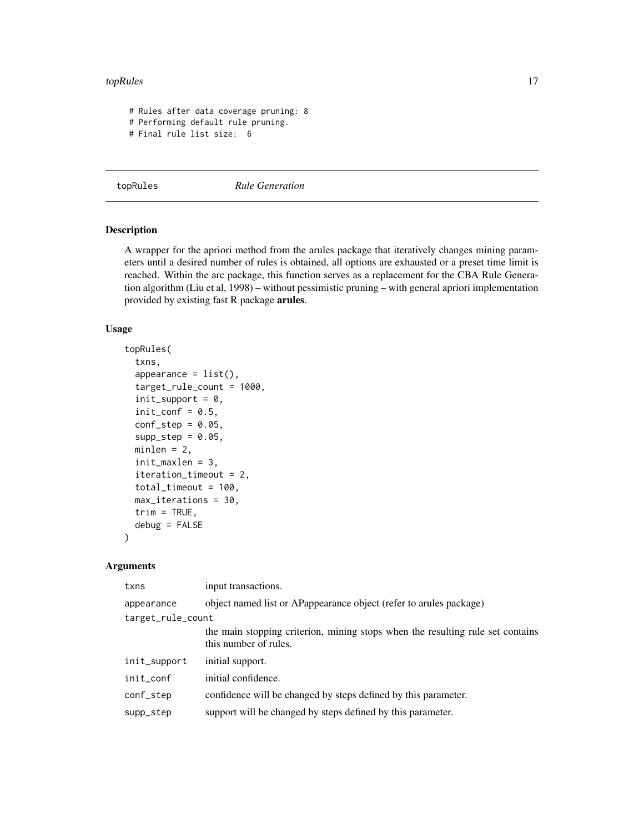#### <span id="page-16-0"></span>topRules the contract of the contract of the contract of the contract of the contract of the contract of the contract of the contract of the contract of the contract of the contract of the contract of the contract of the c

```
# Rules after data coverage pruning: 8
# Performing default rule pruning.
# Final rule list size: 6
```
<span id="page-16-1"></span>

topRules *Rule Generation*

#### Description

A wrapper for the apriori method from the arules package that iteratively changes mining parameters until a desired number of rules is obtained, all options are exhausted or a preset time limit is reached. Within the arc package, this function serves as a replacement for the CBA Rule Generation algorithm (Liu et al, 1998) – without pessimistic pruning – with general apriori implementation provided by existing fast R package arules.

## Usage

```
topRules(
  txns,
  appearance = list(),
  target_rule_count = 1000,
  init\_support = 0,
  init\_conf = 0.5,
  conf\_step = 0.05,
  supp\_step = 0.05,
 minlen = 2,
  init_maxlen = 3,
  iteration_timeout = 2,
  total_timeout = 100,
 max_iterations = 30,
  trim = TRUE,debug = FALSE
)
```

| txns              | input transactions.                                                                                     |  |
|-------------------|---------------------------------------------------------------------------------------------------------|--|
| appearance        | object named list or APappearance object (refer to arules package)                                      |  |
| target_rule_count |                                                                                                         |  |
|                   | the main stopping criterion, mining stops when the resulting rule set contains<br>this number of rules. |  |
| init_support      | initial support.                                                                                        |  |
| init_conf         | initial confidence.                                                                                     |  |
| conf_step         | confidence will be changed by steps defined by this parameter.                                          |  |
| supp_step         | support will be changed by steps defined by this parameter.                                             |  |
|                   |                                                                                                         |  |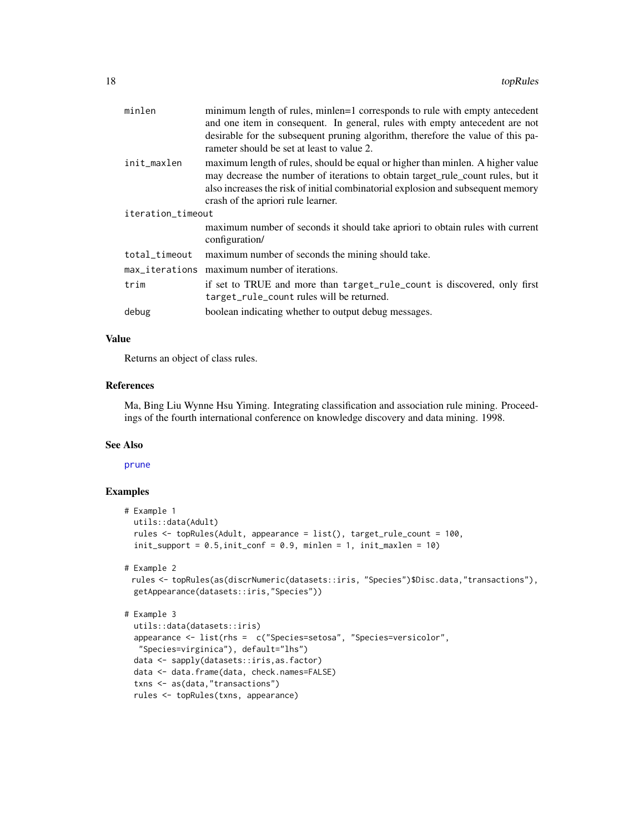<span id="page-17-0"></span>

| minlen            | minimum length of rules, minlen=1 corresponds to rule with empty antecedent<br>and one item in consequent. In general, rules with empty antecedent are not<br>desirable for the subsequent pruning algorithm, therefore the value of this pa-                                               |  |
|-------------------|---------------------------------------------------------------------------------------------------------------------------------------------------------------------------------------------------------------------------------------------------------------------------------------------|--|
|                   | rameter should be set at least to value 2.                                                                                                                                                                                                                                                  |  |
| init_maxlen       | maximum length of rules, should be equal or higher than minlen. A higher value<br>may decrease the number of iterations to obtain target_rule_count rules, but it<br>also increases the risk of initial combinatorial explosion and subsequent memory<br>crash of the apriori rule learner. |  |
| iteration_timeout |                                                                                                                                                                                                                                                                                             |  |
|                   | maximum number of seconds it should take apriori to obtain rules with current<br>configuration/                                                                                                                                                                                             |  |
| total_timeout     | maximum number of seconds the mining should take.                                                                                                                                                                                                                                           |  |
| max_iterations    | maximum number of iterations.                                                                                                                                                                                                                                                               |  |
| trim              | if set to TRUE and more than target_rule_count is discovered, only first<br>target_rule_count rules will be returned.                                                                                                                                                                       |  |
| debug             | boolean indicating whether to output debug messages.                                                                                                                                                                                                                                        |  |

#### Value

Returns an object of class rules.

#### References

Ma, Bing Liu Wynne Hsu Yiming. Integrating classification and association rule mining. Proceedings of the fourth international conference on knowledge discovery and data mining. 1998.

# See Also

#### [prune](#page-14-1)

```
# Example 1
 utils::data(Adult)
 rules <- topRules(Adult, appearance = list(), target_rule_count = 100,
 init\_support = 0.5, init\_conf = 0.9, minlen = 1, init\_maxlen = 10)
```

```
# Example 2
```

```
rules <- topRules(as(discrNumeric(datasets::iris, "Species")$Disc.data,"transactions"),
getAppearance(datasets::iris,"Species"))
```

```
# Example 3
```

```
utils::data(datasets::iris)
appearance <- list(rhs = c("Species=setosa", "Species=versicolor",
 "Species=virginica"), default="lhs")
data <- sapply(datasets::iris,as.factor)
data <- data.frame(data, check.names=FALSE)
txns <- as(data,"transactions")
rules <- topRules(txns, appearance)
```